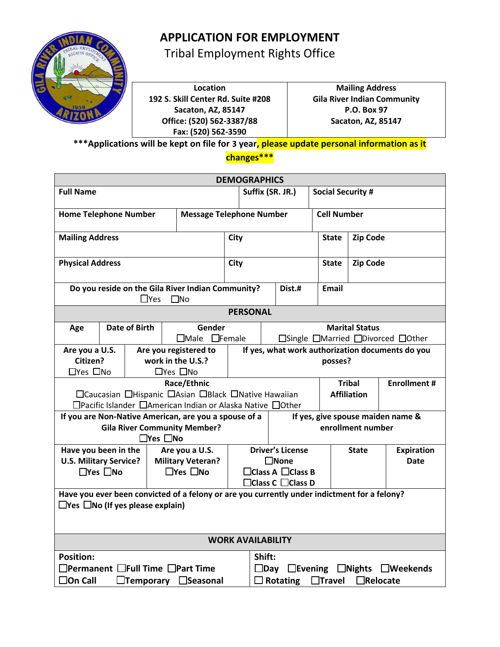

Tribal Employment Rights Office

**Location 192 S. Skill Center Rd. Suite #208 Sacaton, AZ, 85147 Office: (520) 562-3387/88 Fax: (520) 562-3590**

**Mailing Address Gila River Indian Community P.O. Box 97 Sacaton, AZ, 85147**

**\*\*\*Applications will be kept on file for 3 year, please update personal information as it changes\*\*\***

| <b>DEMOGRAPHICS</b>                                                                                                                                                                  |                                                                                                                                                                                                                       |            |              |                                                                                                                           |             |                                                             |                                                            |                   |                 |                 |  |
|--------------------------------------------------------------------------------------------------------------------------------------------------------------------------------------|-----------------------------------------------------------------------------------------------------------------------------------------------------------------------------------------------------------------------|------------|--------------|---------------------------------------------------------------------------------------------------------------------------|-------------|-------------------------------------------------------------|------------------------------------------------------------|-------------------|-----------------|-----------------|--|
| <b>Full Name</b>                                                                                                                                                                     |                                                                                                                                                                                                                       |            |              | Suffix (SR. JR.)                                                                                                          |             |                                                             | <b>Social Security #</b>                                   |                   |                 |                 |  |
| <b>Home Telephone Number</b>                                                                                                                                                         |                                                                                                                                                                                                                       |            |              |                                                                                                                           |             | <b>Message Telephone Number</b><br><b>Cell Number</b>       |                                                            |                   |                 |                 |  |
| <b>Mailing Address</b>                                                                                                                                                               |                                                                                                                                                                                                                       |            |              |                                                                                                                           | <b>City</b> |                                                             |                                                            | <b>State</b>      |                 | <b>Zip Code</b> |  |
| <b>Physical Address</b>                                                                                                                                                              |                                                                                                                                                                                                                       |            |              |                                                                                                                           | <b>City</b> |                                                             |                                                            | State             | <b>Zip Code</b> |                 |  |
|                                                                                                                                                                                      |                                                                                                                                                                                                                       | $\Box$ Yes | $\square$ No | Do you reside on the Gila River Indian Community?                                                                         |             |                                                             |                                                            | Dist.#            | Email           |                 |  |
|                                                                                                                                                                                      |                                                                                                                                                                                                                       |            |              |                                                                                                                           |             | <b>PERSONAL</b>                                             |                                                            |                   |                 |                 |  |
| Age                                                                                                                                                                                  | <b>Date of Birth</b>                                                                                                                                                                                                  |            |              | Gender<br>□Male □Female                                                                                                   |             |                                                             | <b>Marital Status</b><br>□Single □Married □Divorced □Other |                   |                 |                 |  |
| Are you a U.S.<br>Are you registered to<br>Citizen?<br>work in the U.S.?<br>□Yes □No<br>$\Box$ Yes $\Box$ No                                                                         |                                                                                                                                                                                                                       |            |              |                                                                                                                           |             | If yes, what work authorization documents do you<br>posses? |                                                            |                   |                 |                 |  |
| Race/Ethnic<br>□Caucasian □Hispanic □Asian □Black □Native Hawaiian<br>□Pacific Islander □American Indian or Alaska Native □Other                                                     |                                                                                                                                                                                                                       |            |              |                                                                                                                           |             |                                                             | <b>Tribal</b><br><b>Enrollment #</b><br><b>Affiliation</b> |                   |                 |                 |  |
| If yes, give spouse maiden name &<br>If you are Non-Native American, are you a spouse of a<br><b>Gila River Community Member?</b><br>enrollment number<br>$\square$ Yes $\square$ No |                                                                                                                                                                                                                       |            |              |                                                                                                                           |             |                                                             |                                                            |                   |                 |                 |  |
| Have you been in the<br>Are you a U.S.<br><b>U.S. Military Service?</b><br><b>Military Veteran?</b><br>$\square$ Yes $\square$ No<br>$\square$ Yes $\square$ No                      |                                                                                                                                                                                                                       |            |              | <b>Driver's License</b><br><b>State</b><br>$\square$ None<br>Date<br>$\Box$ Class A $\Box$ Class B<br>□ Class C □ Class D |             |                                                             |                                                            | <b>Expiration</b> |                 |                 |  |
| Have you ever been convicted of a felony or are you currently under indictment for a felony?<br>$\Box$ Yes $\Box$ No (If yes please explain)                                         |                                                                                                                                                                                                                       |            |              |                                                                                                                           |             |                                                             |                                                            |                   |                 |                 |  |
| <b>WORK AVAILABILITY</b>                                                                                                                                                             |                                                                                                                                                                                                                       |            |              |                                                                                                                           |             |                                                             |                                                            |                   |                 |                 |  |
| <b>Position:</b><br>$\square$ On Call                                                                                                                                                | Shift:<br>$\Box$ Permanent $\Box$ Full Time $\Box$ Part Time<br>$\square$ Day<br>$\Box$ Evening $\Box$ Nights $\Box$ Weekends<br>□Seasonal<br>$\Box$ Rotating<br>$\Box$ Travel<br>$\Box$ Relocate<br>$\Box$ Temporary |            |              |                                                                                                                           |             |                                                             |                                                            |                   |                 |                 |  |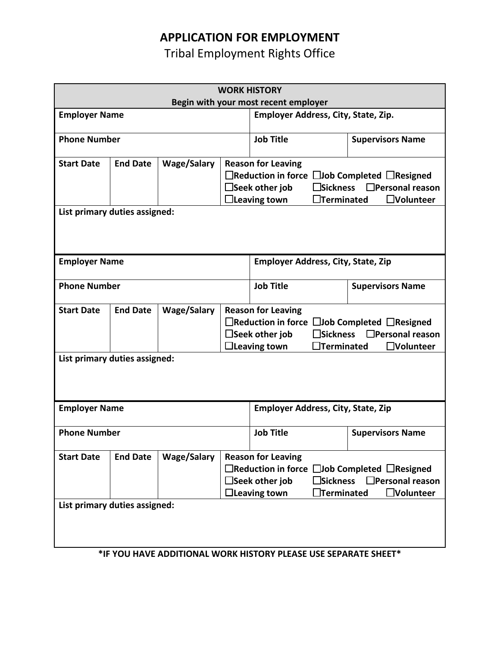Tribal Employment Rights Office

| <b>WORK HISTORY</b>                                                                              |                                                                                                                                                                                                                                                                                                              |                    |                                                                                                                                                                                                                                         |                                                                                                                                                                                                                  |                         |                         |  |  |
|--------------------------------------------------------------------------------------------------|--------------------------------------------------------------------------------------------------------------------------------------------------------------------------------------------------------------------------------------------------------------------------------------------------------------|--------------------|-----------------------------------------------------------------------------------------------------------------------------------------------------------------------------------------------------------------------------------------|------------------------------------------------------------------------------------------------------------------------------------------------------------------------------------------------------------------|-------------------------|-------------------------|--|--|
| Begin with your most recent employer                                                             |                                                                                                                                                                                                                                                                                                              |                    |                                                                                                                                                                                                                                         |                                                                                                                                                                                                                  |                         |                         |  |  |
| <b>Employer Name</b>                                                                             |                                                                                                                                                                                                                                                                                                              |                    | Employer Address, City, State, Zip.                                                                                                                                                                                                     |                                                                                                                                                                                                                  |                         |                         |  |  |
| <b>Phone Number</b>                                                                              |                                                                                                                                                                                                                                                                                                              |                    |                                                                                                                                                                                                                                         | <b>Job Title</b>                                                                                                                                                                                                 | <b>Supervisors Name</b> |                         |  |  |
| <b>Start Date</b>                                                                                | <b>End Date</b><br><b>Wage/Salary</b><br><b>Reason for Leaving</b><br>$\Box$ Reduction in force $\Box$ Job Completed $\Box$ Resigned<br>$\Box$ Seek other job<br><b>]Sickness</b><br>$\Box$ Personal reason<br><b>Terminated</b><br>$\Box$ Leaving town<br>$\Box$ Volunteer<br>List primary duties assigned: |                    |                                                                                                                                                                                                                                         |                                                                                                                                                                                                                  |                         |                         |  |  |
| <b>Employer Name</b>                                                                             |                                                                                                                                                                                                                                                                                                              |                    |                                                                                                                                                                                                                                         | <b>Employer Address, City, State, Zip</b>                                                                                                                                                                        |                         |                         |  |  |
| <b>Phone Number</b>                                                                              |                                                                                                                                                                                                                                                                                                              |                    |                                                                                                                                                                                                                                         | <b>Job Title</b>                                                                                                                                                                                                 |                         | <b>Supervisors Name</b> |  |  |
| <b>Start Date</b><br>List primary duties assigned:                                               | <b>End Date</b>                                                                                                                                                                                                                                                                                              | <b>Wage/Salary</b> | <b>Reason for Leaving</b><br>$\Box$ Reduction in force $\Box$ Job Completed $\Box$ Resigned<br><b>3</b> Sickness<br>$\Box$ Personal reason<br>$\Box$ Seek other job<br>$\exists$ Terminated<br>$\Box$ Leaving town<br><b>_Volunteer</b> |                                                                                                                                                                                                                  |                         |                         |  |  |
|                                                                                                  |                                                                                                                                                                                                                                                                                                              |                    |                                                                                                                                                                                                                                         |                                                                                                                                                                                                                  |                         |                         |  |  |
| <b>Employer Name</b>                                                                             |                                                                                                                                                                                                                                                                                                              |                    |                                                                                                                                                                                                                                         | <b>Employer Address, City, State, Zip</b>                                                                                                                                                                        |                         |                         |  |  |
| <b>Phone Number</b>                                                                              |                                                                                                                                                                                                                                                                                                              |                    |                                                                                                                                                                                                                                         | <b>Job Title</b>                                                                                                                                                                                                 |                         | <b>Supervisors Name</b> |  |  |
| <b>Start Date</b>                                                                                | <b>End Date</b>                                                                                                                                                                                                                                                                                              | <b>Wage/Salary</b> |                                                                                                                                                                                                                                         | <b>Reason for Leaving</b><br>□Reduction in force □Job Completed □Resigned<br><b>Sickness</b><br>$\Box$ Personal reason<br>$\Box$ Seek other job<br>$\Box$ Leaving town<br><b>Terminated</b><br><b>JVolunteer</b> |                         |                         |  |  |
| List primary duties assigned:<br>*IF YOU HAVE ADDITIONAL WORK HISTORY PLEASE USE SEPARATE SHEET* |                                                                                                                                                                                                                                                                                                              |                    |                                                                                                                                                                                                                                         |                                                                                                                                                                                                                  |                         |                         |  |  |

**\*IF YOU HAVE ADDITIONAL WORK HISTORY PLEASE USE SEPARATE SHEET\***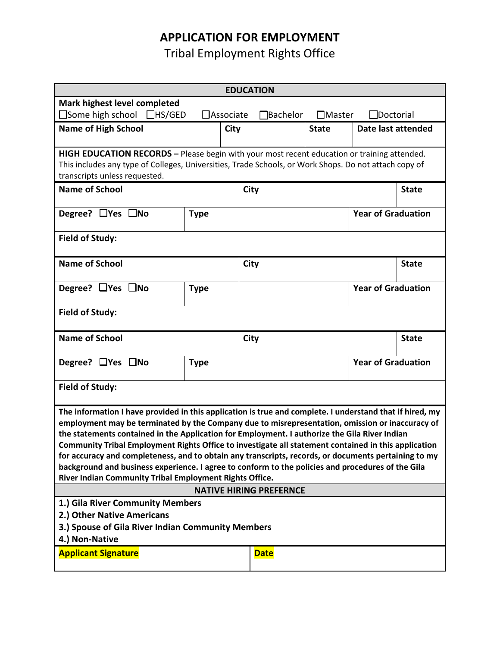Tribal Employment Rights Office

| <b>EDUCATION</b>                                                                                                                                                                                                                                                                                                                                                                                                                                                                                                                                                                                                                                                                             |                                                                                             |  |                       |                                   |                           |              |  |  |
|----------------------------------------------------------------------------------------------------------------------------------------------------------------------------------------------------------------------------------------------------------------------------------------------------------------------------------------------------------------------------------------------------------------------------------------------------------------------------------------------------------------------------------------------------------------------------------------------------------------------------------------------------------------------------------------------|---------------------------------------------------------------------------------------------|--|-----------------------|-----------------------------------|---------------------------|--------------|--|--|
| Mark highest level completed                                                                                                                                                                                                                                                                                                                                                                                                                                                                                                                                                                                                                                                                 |                                                                                             |  |                       |                                   |                           |              |  |  |
| $\square$ Some high school $\square$ HS/GED                                                                                                                                                                                                                                                                                                                                                                                                                                                                                                                                                                                                                                                  | $\Box$ Associate                                                                            |  | Bachelor <sup>-</sup> | $\Box$ Master<br>$\Box$ Doctorial |                           |              |  |  |
| <b>Name of High School</b><br><b>City</b>                                                                                                                                                                                                                                                                                                                                                                                                                                                                                                                                                                                                                                                    |                                                                                             |  |                       | <b>State</b>                      | Date last attended        |              |  |  |
|                                                                                                                                                                                                                                                                                                                                                                                                                                                                                                                                                                                                                                                                                              | HIGH EDUCATION RECORDS - Please begin with your most recent education or training attended. |  |                       |                                   |                           |              |  |  |
| This includes any type of Colleges, Universities, Trade Schools, or Work Shops. Do not attach copy of                                                                                                                                                                                                                                                                                                                                                                                                                                                                                                                                                                                        |                                                                                             |  |                       |                                   |                           |              |  |  |
| transcripts unless requested.                                                                                                                                                                                                                                                                                                                                                                                                                                                                                                                                                                                                                                                                |                                                                                             |  |                       |                                   |                           |              |  |  |
| <b>Name of School</b>                                                                                                                                                                                                                                                                                                                                                                                                                                                                                                                                                                                                                                                                        |                                                                                             |  | City                  |                                   | <b>State</b>              |              |  |  |
| Degree? □Yes □No                                                                                                                                                                                                                                                                                                                                                                                                                                                                                                                                                                                                                                                                             | <b>Type</b>                                                                                 |  |                       | <b>Year of Graduation</b>         |                           |              |  |  |
| <b>Field of Study:</b>                                                                                                                                                                                                                                                                                                                                                                                                                                                                                                                                                                                                                                                                       |                                                                                             |  |                       |                                   |                           |              |  |  |
| <b>Name of School</b>                                                                                                                                                                                                                                                                                                                                                                                                                                                                                                                                                                                                                                                                        |                                                                                             |  | City                  |                                   | <b>State</b>              |              |  |  |
| Degree? $\Box$ Yes $\Box$ No<br><b>Type</b>                                                                                                                                                                                                                                                                                                                                                                                                                                                                                                                                                                                                                                                  |                                                                                             |  |                       |                                   | <b>Year of Graduation</b> |              |  |  |
| <b>Field of Study:</b>                                                                                                                                                                                                                                                                                                                                                                                                                                                                                                                                                                                                                                                                       |                                                                                             |  |                       |                                   |                           |              |  |  |
| <b>Name of School</b>                                                                                                                                                                                                                                                                                                                                                                                                                                                                                                                                                                                                                                                                        |                                                                                             |  | City                  |                                   |                           | <b>State</b> |  |  |
| Degree? $\Box$ Yes $\Box$ No<br><b>Type</b>                                                                                                                                                                                                                                                                                                                                                                                                                                                                                                                                                                                                                                                  |                                                                                             |  |                       |                                   | <b>Year of Graduation</b> |              |  |  |
| <b>Field of Study:</b>                                                                                                                                                                                                                                                                                                                                                                                                                                                                                                                                                                                                                                                                       |                                                                                             |  |                       |                                   |                           |              |  |  |
| The information I have provided in this application is true and complete. I understand that if hired, my<br>employment may be terminated by the Company due to misrepresentation, omission or inaccuracy of<br>the statements contained in the Application for Employment. I authorize the Gila River Indian<br>Community Tribal Employment Rights Office to investigate all statement contained in this application<br>for accuracy and completeness, and to obtain any transcripts, records, or documents pertaining to my<br>background and business experience. I agree to conform to the policies and procedures of the Gila<br>River Indian Community Tribal Employment Rights Office. |                                                                                             |  |                       |                                   |                           |              |  |  |
| <b>NATIVE HIRING PREFERNCE</b>                                                                                                                                                                                                                                                                                                                                                                                                                                                                                                                                                                                                                                                               |                                                                                             |  |                       |                                   |                           |              |  |  |
| 1.) Gila River Community Members                                                                                                                                                                                                                                                                                                                                                                                                                                                                                                                                                                                                                                                             |                                                                                             |  |                       |                                   |                           |              |  |  |
| 2.) Other Native Americans                                                                                                                                                                                                                                                                                                                                                                                                                                                                                                                                                                                                                                                                   |                                                                                             |  |                       |                                   |                           |              |  |  |
| 3.) Spouse of Gila River Indian Community Members<br>4.) Non-Native                                                                                                                                                                                                                                                                                                                                                                                                                                                                                                                                                                                                                          |                                                                                             |  |                       |                                   |                           |              |  |  |
| <b>Applicant Signature</b>                                                                                                                                                                                                                                                                                                                                                                                                                                                                                                                                                                                                                                                                   | <b>Date</b>                                                                                 |  |                       |                                   |                           |              |  |  |
|                                                                                                                                                                                                                                                                                                                                                                                                                                                                                                                                                                                                                                                                                              |                                                                                             |  |                       |                                   |                           |              |  |  |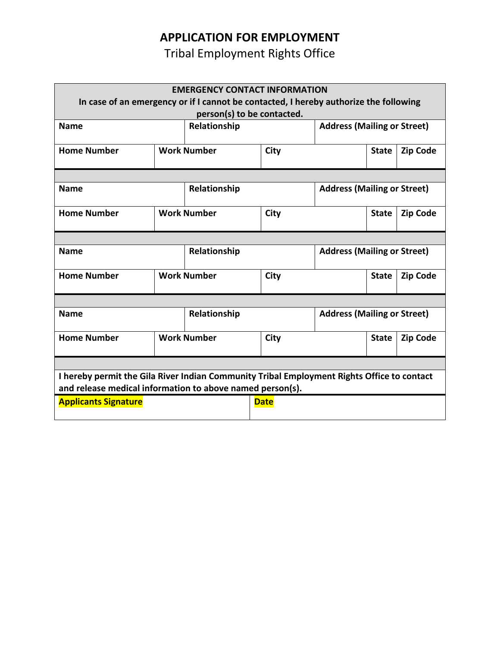Tribal Employment Rights Office

| <b>EMERGENCY CONTACT INFORMATION</b>                                                                                                                    |              |                                   |                                    |                                    |              |                 |  |  |  |
|---------------------------------------------------------------------------------------------------------------------------------------------------------|--------------|-----------------------------------|------------------------------------|------------------------------------|--------------|-----------------|--|--|--|
| In case of an emergency or if I cannot be contacted, I hereby authorize the following<br>person(s) to be contacted.                                     |              |                                   |                                    |                                    |              |                 |  |  |  |
| <b>Name</b>                                                                                                                                             | Relationship |                                   | <b>Address (Mailing or Street)</b> |                                    |              |                 |  |  |  |
|                                                                                                                                                         |              |                                   |                                    |                                    |              |                 |  |  |  |
| <b>Home Number</b>                                                                                                                                      |              | <b>Work Number</b><br><b>City</b> |                                    |                                    | <b>State</b> | <b>Zip Code</b> |  |  |  |
|                                                                                                                                                         |              |                                   |                                    |                                    |              |                 |  |  |  |
| <b>Name</b>                                                                                                                                             |              | Relationship                      |                                    | <b>Address (Mailing or Street)</b> |              |                 |  |  |  |
| <b>Home Number</b>                                                                                                                                      |              | <b>Work Number</b><br>City        |                                    |                                    | <b>State</b> | <b>Zip Code</b> |  |  |  |
|                                                                                                                                                         |              |                                   |                                    |                                    |              |                 |  |  |  |
| <b>Name</b>                                                                                                                                             |              | Relationship                      |                                    | <b>Address (Mailing or Street)</b> |              |                 |  |  |  |
| <b>Home Number</b>                                                                                                                                      |              | <b>Work Number</b><br>City        |                                    |                                    | <b>State</b> | <b>Zip Code</b> |  |  |  |
|                                                                                                                                                         |              |                                   |                                    |                                    |              |                 |  |  |  |
| <b>Name</b>                                                                                                                                             |              | Relationship                      |                                    | <b>Address (Mailing or Street)</b> |              |                 |  |  |  |
| <b>Home Number</b>                                                                                                                                      |              | <b>Work Number</b><br>City        |                                    |                                    | <b>State</b> | <b>Zip Code</b> |  |  |  |
|                                                                                                                                                         |              |                                   |                                    |                                    |              |                 |  |  |  |
| I hereby permit the Gila River Indian Community Tribal Employment Rights Office to contact<br>and release medical information to above named person(s). |              |                                   |                                    |                                    |              |                 |  |  |  |
| <b>Applicants Signature</b>                                                                                                                             |              |                                   | <b>Date</b>                        |                                    |              |                 |  |  |  |